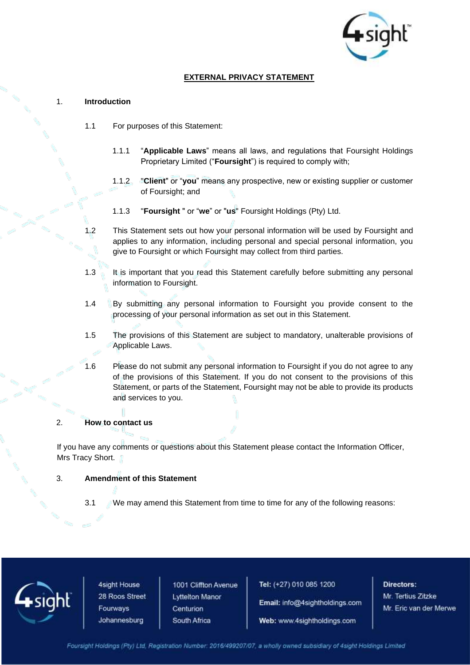

# **EXTERNAL PRIVACY STATEMENT**

#### 1. **Introduction**

- 1.1 For purposes of this Statement:
	- 1.1.1 "**Applicable Laws**" means all laws, and regulations that Foursight Holdings Proprietary Limited ("**Foursight**") is required to comply with;
	- 1.1.2 "**Client**" or "**you**" means any prospective, new or existing supplier or customer of Foursight; and
	- 1.1.3 "**Foursight** " or "**we**" or "**us**" Foursight Holdings (Pty) Ltd.
- 1.2 This Statement sets out how your personal information will be used by Foursight and applies to any information, including personal and special personal information, you give to Foursight or which Foursight may collect from third parties.
- 1.3 It is important that you read this Statement carefully before submitting any personal information to Foursight.
- 1.4 By submitting any personal information to Foursight you provide consent to the processing of your personal information as set out in this Statement.
- 1.5 The provisions of this Statement are subject to mandatory, unalterable provisions of Applicable Laws.
- 1.6 Please do not submit any personal information to Foursight if you do not agree to any of the provisions of this Statement. If you do not consent to the provisions of this Statement, or parts of the Statement, Foursight may not be able to provide its products and services to you.

### 2. **How to contact us**

If you have any comments or questions about this Statement please contact the Information Officer, Mrs Tracy Short.

#### 3. **Amendment of this Statement**

3.1 We may amend this Statement from time to time for any of the following reasons:



4sight House 28 Roos Street Fourways Johannesburg

1001 Cliffton Avenue **Lyttelton Manor** Centurion South Africa

Tel: (+27) 010 085 1200

Email: info@4sightholdings.com

Web: www.4sightholdings.com

Directors: Mr. Tertius Zitzke Mr. Eric van der Merwe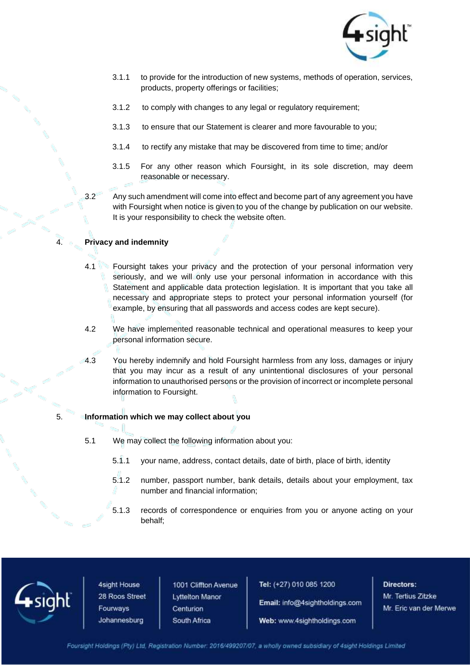

- 3.1.1 to provide for the introduction of new systems, methods of operation, services, products, property offerings or facilities;
- 3.1.2 to comply with changes to any legal or regulatory requirement;
- 3.1.3 to ensure that our Statement is clearer and more favourable to you;
- 3.1.4 to rectify any mistake that may be discovered from time to time; and/or
- 3.1.5 For any other reason which Foursight, in its sole discretion, may deem reasonable or necessary.
- 3.2 Any such amendment will come into effect and become part of any agreement you have with Foursight when notice is given to you of the change by publication on our website. It is your responsibility to check the website often.

### 4. **Privacy and indemnity**

- 4.1 Foursight takes your privacy and the protection of your personal information very seriously, and we will only use your personal information in accordance with this Statement and applicable data protection legislation. It is important that you take all necessary and appropriate steps to protect your personal information yourself (for example, by ensuring that all passwords and access codes are kept secure).
- 4.2 We have implemented reasonable technical and operational measures to keep your personal information secure.
- 4.3 You hereby indemnify and hold Foursight harmless from any loss, damages or injury that you may incur as a result of any unintentional disclosures of your personal information to unauthorised persons or the provision of incorrect or incomplete personal information to Foursight.

#### 5. **Information which we may collect about you**

- 5.1 We may collect the following information about you:
	- 5.1.1 your name, address, contact details, date of birth, place of birth, identity
	- 5.1.2 number, passport number, bank details, details about your employment, tax number and financial information;
	- 5.1.3 records of correspondence or enquiries from you or anyone acting on your behalf;



4sight House 28 Roos Street Fourways Johannesburg

1001 Cliffton Avenue **Lyttelton Manor** Centurion South Africa

Tel: (+27) 010 085 1200

Email: info@4sightholdings.com

Web: www.4sightholdings.com

Directors: Mr. Tertius Zitzke Mr. Eric van der Merwe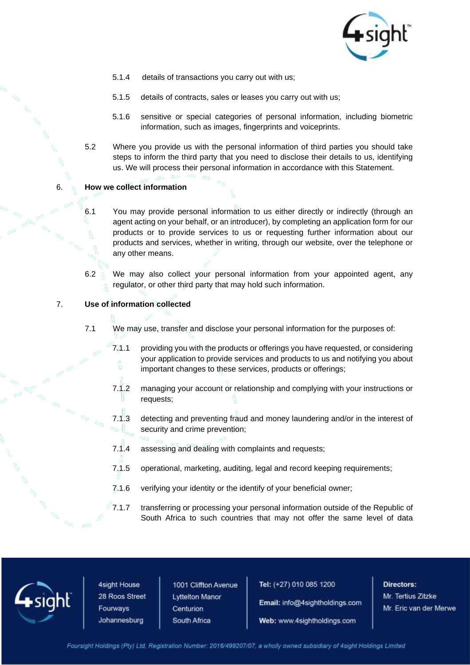

- 5.1.4 details of transactions you carry out with us;
- 5.1.5 details of contracts, sales or leases you carry out with us;
- 5.1.6 sensitive or special categories of personal information, including biometric information, such as images, fingerprints and voiceprints.
- 5.2 Where you provide us with the personal information of third parties you should take steps to inform the third party that you need to disclose their details to us, identifying us. We will process their personal information in accordance with this Statement.

### 6. **How we collect information**

- 6.1 You may provide personal information to us either directly or indirectly (through an agent acting on your behalf, or an introducer), by completing an application form for our products or to provide services to us or requesting further information about our products and services, whether in writing, through our website, over the telephone or any other means.
- 6.2 We may also collect your personal information from your appointed agent, any regulator, or other third party that may hold such information.

#### 7. **Use of information collected**

- 7.1 We may use, transfer and disclose your personal information for the purposes of:
	- 7.1.1 providing you with the products or offerings you have requested, or considering your application to provide services and products to us and notifying you about important changes to these services, products or offerings;
	- 7.1.2 managing your account or relationship and complying with your instructions or requests;
	- 7.1.3 detecting and preventing fraud and money laundering and/or in the interest of security and crime prevention;
	- 7.1.4 assessing and dealing with complaints and requests;
	- 7.1.5 operational, marketing, auditing, legal and record keeping requirements;
	- 7.1.6 verifying your identity or the identify of your beneficial owner;
	- 7.1.7 transferring or processing your personal information outside of the Republic of South Africa to such countries that may not offer the same level of data



4sight House 28 Roos Street Fourways Johannesburg

1001 Cliffton Avenue **Lyttelton Manor** Centurion South Africa

Tel: (+27) 010 085 1200

Email: info@4sightholdings.com

Web: www.4sightholdings.com

Directors: Mr. Tertius Zitzke Mr. Eric van der Merwe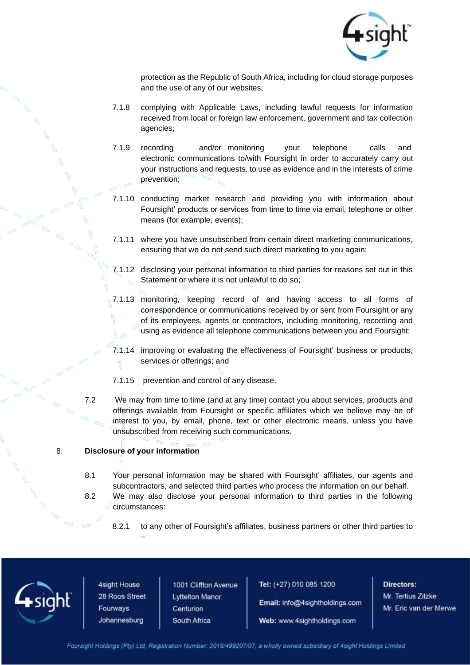

protection as the Republic of South Africa, including for cloud storage purposes and the use of any of our websites;

- 7.1.8 complying with Applicable Laws, including lawful requests for information received from local or foreign law enforcement, government and tax collection agencies;
- 7.1.9 recording and/or monitoring your telephone calls and electronic communications to/with Foursight in order to accurately carry out your instructions and requests, to use as evidence and in the interests of crime prevention;
- 7.1.10 conducting market research and providing you with information about Foursight' products or services from time to time via email, telephone or other means (for example, events);
- 7.1.11 where you have unsubscribed from certain direct marketing communications, ensuring that we do not send such direct marketing to you again;
- 7.1.12 disclosing your personal information to third parties for reasons set out in this Statement or where it is not unlawful to do so;
- 7.1.13 monitoring, keeping record of and having access to all forms of correspondence or communications received by or sent from Foursight or any of its employees, agents or contractors, including monitoring, recording and using as evidence all telephone communications between you and Foursight;
- 7.1.14 improving or evaluating the effectiveness of Foursight' business or products, services or offerings; and
- 7.1.15 prevention and control of any disease.
- 7.2 We may from time to time (and at any time) contact you about services, products and offerings available from Foursight or specific affiliates which we believe may be of interest to you, by email, phone, text or other electronic means, unless you have unsubscribed from receiving such communications.

### 8. **Disclosure of your information**

- 8.1 Your personal information may be shared with Foursight' affiliates, our agents and subcontractors, and selected third parties who process the information on our behalf.
- 8.2 We may also disclose your personal information to third parties in the following circumstances:
	- 8.2.1 to any other of Foursight's affiliates, business partners or other third parties to



4sight House 28 Roos Street Fourways Johannesburg

–

1001 Cliffton Avenue **Lyttelton Manor** Centurion South Africa

Tel: (+27) 010 085 1200

Email: info@4sightholdings.com

Web: www.4sightholdings.com

Directors: Mr. Tertius Zitzke Mr. Eric van der Merwe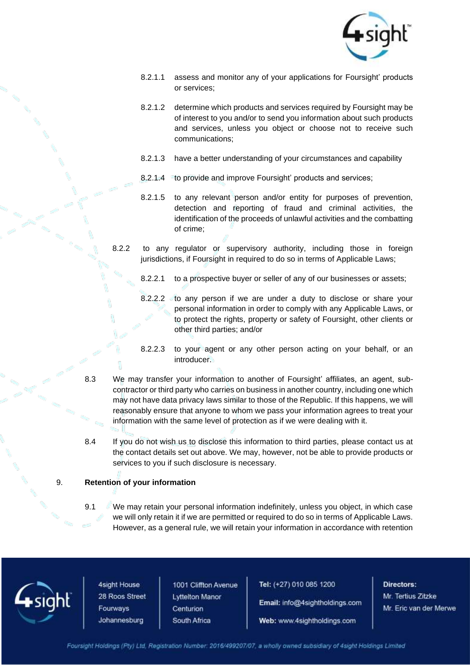

- 8.2.1.1 assess and monitor any of your applications for Foursight' products or services;
- 8.2.1.2 determine which products and services required by Foursight may be of interest to you and/or to send you information about such products and services, unless you object or choose not to receive such communications;
- 8.2.1.3 have a better understanding of your circumstances and capability
- 8.2.1.4 to provide and improve Foursight' products and services;
- 8.2.1.5 to any relevant person and/or entity for purposes of prevention, detection and reporting of fraud and criminal activities, the identification of the proceeds of unlawful activities and the combatting of crime;
- 8.2.2 to any regulator or supervisory authority, including those in foreign jurisdictions, if Foursight in required to do so in terms of Applicable Laws;
	- 8.2.2.1 to a prospective buyer or seller of any of our businesses or assets;
	- 8.2.2.2 to any person if we are under a duty to disclose or share your personal information in order to comply with any Applicable Laws, or to protect the rights, property or safety of Foursight, other clients or other third parties; and/or
	- 8.2.2.3 to your agent or any other person acting on your behalf, or an introducer.
- 8.3 We may transfer your information to another of Foursight' affiliates, an agent, subcontractor or third party who carries on business in another country, including one which may not have data privacy laws similar to those of the Republic. If this happens, we will reasonably ensure that anyone to whom we pass your information agrees to treat your information with the same level of protection as if we were dealing with it.
- 8.4 If you do not wish us to disclose this information to third parties, please contact us at the contact details set out above. We may, however, not be able to provide products or services to you if such disclosure is necessary.

### 9. **Retention of your information**

9.1 We may retain your personal information indefinitely, unless you object, in which case we will only retain it if we are permitted or required to do so in terms of Applicable Laws. However, as a general rule, we will retain your information in accordance with retention



4sight House 28 Roos Street Fourways Johannesburg

1001 Cliffton Avenue **Lyttelton Manor** Centurion South Africa

Tel: (+27) 010 085 1200

Email: info@4sightholdings.com

Web: www.4sightholdings.com

Directors: Mr. Tertius Zitzke Mr. Eric van der Merwe